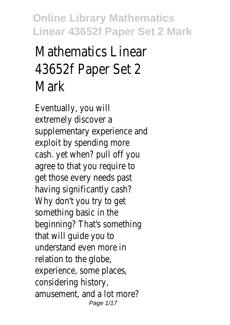# Mathematics Linear 43652f Paper Set 2 Mark

Eventually, you will extremely discover a supplementary experience and exploit by spending more cash. yet when? pull off you agree to that you require to get those every needs past having significantly cash? Why don't you try to get something basic in the beginning? That's something that will guide you to understand even more in relation to the globe, experience, some places, considering history, amusement, and a lot more? Page 1/17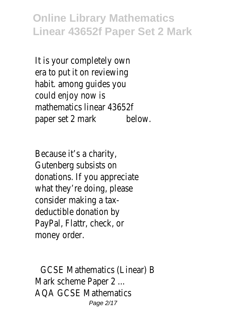It is your completely own era to put it on reviewing habit. among guides you could enjoy now is mathematics linear 43652f paper set 2 mark below.

Because it's a charity, Gutenberg subsists on donations. If you appreciate what they're doing, please consider making a taxdeductible donation by PayPal, Flattr, check, or money order.

GCSE Mathematics (Linear) B Mark scheme Paper 2 ... AQA GCSE Mathematics Page 2/17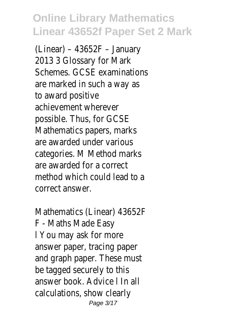(Linear) – 43652F – January 2013 3 Glossary for Mark Schemes. GCSE examinations are marked in such a way as to award positive achievement wherever possible. Thus, for GCSE Mathematics papers, marks are awarded under various categories. M Method marks are awarded for a correct method which could lead to a correct answer.

Mathematics (Linear) 43652F F - Maths Made Easy l You may ask for more answer paper, tracing paper and graph paper. These must be tagged securely to this answer book. Advice l In all calculations, show clearly Page 3/17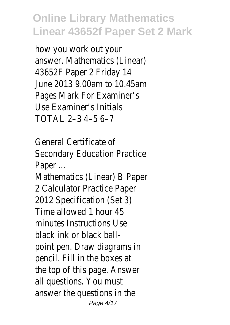how you work out your answer. Mathematics (Linear) 43652F Paper 2 Friday 14 June 2013 9.00am to 10.45am Pages Mark For Examiner's Use Examiner's Initials TOTAL 2–3 4–5 6–7

General Certificate of Secondary Education Practice Paper ...

Mathematics (Linear) B Paper 2 Calculator Practice Paper 2012 Specification (Set 3) Time allowed 1 hour 45 minutes Instructions Use black ink or black ballpoint pen. Draw diagrams in pencil. Fill in the boxes at the top of this page. Answer all questions. You must answer the questions in the Page 4/17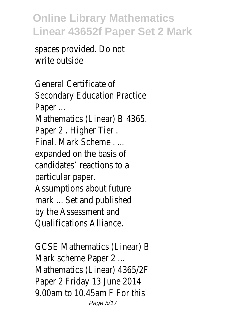spaces provided. Do not write outside

General Certificate of Secondary Education Practice Paper ... Mathematics (Linear) B 4365. Paper 2. Higher Tier. Final. Mark Scheme . ... expanded on the basis of candidates' reactions to a particular paper. Assumptions about future mark ... Set and published by the Assessment and Qualifications Alliance.

GCSE Mathematics (Linear) B Mark scheme Paper 2 ... Mathematics (Linear) 4365/2F Paper 2 Friday 13 June 2014 9.00am to 10.45am F For this Page 5/17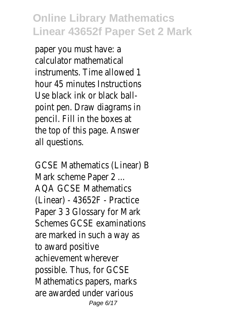paper you must have: a calculator mathematical instruments. Time allowed 1 hour 45 minutes Instructions Use black ink or black ballpoint pen. Draw diagrams in pencil. Fill in the boxes at the top of this page. Answer all questions.

GCSE Mathematics (Linear) B Mark scheme Paper 2 ... AQA GCSE Mathematics (Linear) - 43652F - Practice Paper 3 3 Glossary for Mark Schemes GCSE examinations are marked in such a way as to award positive achievement wherever possible. Thus, for GCSE Mathematics papers, marks are awarded under various Page 6/17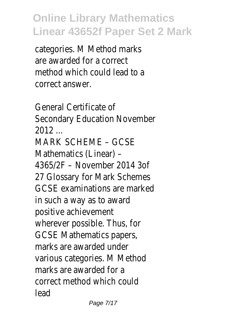categories. M Method marks are awarded for a correct method which could lead to a correct answer.

General Certificate of Secondary Education November 2012 ... MARK SCHEME – GCSE Mathematics (Linear) – 4365/2F – November 2014 3of 27 Glossary for Mark Schemes GCSE examinations are marked in such a way as to award positive achievement wherever possible. Thus, for GCSE Mathematics papers, marks are awarded under various categories. M Method marks are awarded for a correct method which could lead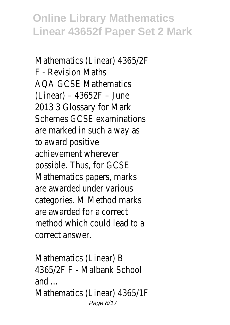Mathematics (Linear) 4365/2F F - Revision Maths AQA GCSE Mathematics (Linear) – 43652F – June 2013 3 Glossary for Mark Schemes GCSE examinations are marked in such a way as to award positive achievement wherever possible. Thus, for GCSE Mathematics papers, marks are awarded under various categories. M Method marks are awarded for a correct method which could lead to a correct answer.

Mathematics (Linear) B 4365/2F F - Malbank School and ... Mathematics (Linear) 4365/1F Page 8/17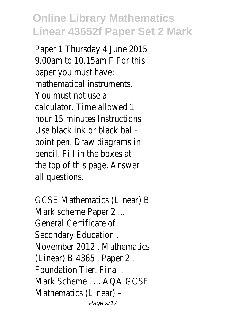Paper 1 Thursday 4 June 2015 9.00am to 10.15am F For this paper you must have: mathematical instruments. You must not use a calculator. Time allowed 1 hour 15 minutes Instructions Use black ink or black ballpoint pen. Draw diagrams in pencil. Fill in the boxes at the top of this page. Answer all questions.

GCSE Mathematics (Linear) B Mark scheme Paper 2 ... General Certificate of Secondary Education . November 2012 . Mathematics (Linear) B 4365 . Paper 2 . Foundation Tier. Final . Mark Scheme . ... AQA GCSE Mathematics (Linear) – Page 9/17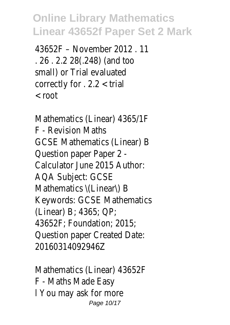43652F – November 2012 . 11 . 26 . 2.2 28(.248) (and too small) or Trial evaluated correctly for . 2.2 < trial < root

Mathematics (Linear) 4365/1F F - Revision Maths GCSE Mathematics (Linear) B Question paper Paper 2 - Calculator June 2015 Author: AQA Subject: GCSE Mathematics \(Linear\) B Keywords: GCSE Mathematics (Linear) B; 4365; QP; 43652F; Foundation; 2015; Question paper Created Date: 20160314092946Z

Mathematics (Linear) 43652F F - Maths Made Easy l You may ask for more Page 10/17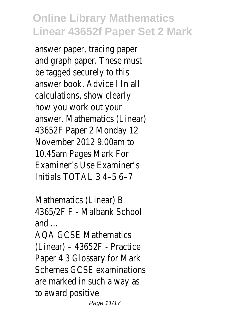answer paper, tracing paper and graph paper. These must be tagged securely to this answer book. Advice l In all calculations, show clearly how you work out your answer. Mathematics (Linear) 43652F Paper 2 Monday 12 November 2012 9.00am to 10.45am Pages Mark For Examiner's Use Examiner's Initials TOTAL 3 4–5 6–7

Mathematics (Linear) B 4365/2F F - Malbank School and ...

AQA GCSE Mathematics (Linear) – 43652F - Practice Paper 4 3 Glossary for Mark Schemes GCSE examinations are marked in such a way as to award positive Page 11/17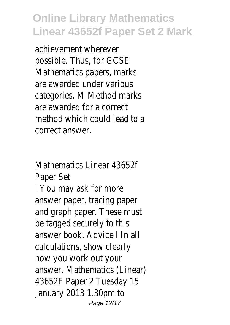achievement wherever possible. Thus, for GCSE Mathematics papers, marks are awarded under various categories. M Method marks are awarded for a correct method which could lead to a correct answer.

Mathematics Linear 43652f Paper Set l You may ask for more answer paper, tracing paper and graph paper. These must be tagged securely to this answer book. Advice l In all calculations, show clearly how you work out your answer. Mathematics (Linear) 43652F Paper 2 Tuesday 15 January 2013 1.30pm to Page 12/17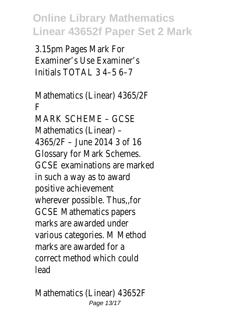3.15pm Pages Mark For Examiner's Use Examiner's Initials TOTAL  $3$  4-5 6-7

Mathematics (Linear) 4365/2F F MARK SCHEME – GCSE Mathematics (Linear) – 4365/2F – June 2014 3 of 16 Glossary for Mark Schemes. GCSE examinations are marked in such a way as to award positive achievement wherever possible. Thus,,for GCSE Mathematics papers marks are awarded under various categories. M Method marks are awarded for a correct method which could lead

Mathematics (Linear) 43652F Page 13/17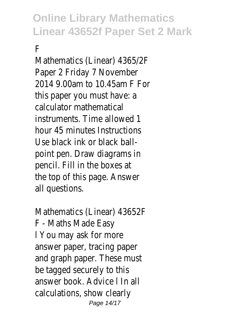#### F

Mathematics (Linear) 4365/2F Paper 2 Friday 7 November 2014 9.00am to 10.45am F For this paper you must have: a calculator mathematical instruments. Time allowed 1 hour 45 minutes Instructions Use black ink or black ballpoint pen. Draw diagrams in pencil. Fill in the boxes at the top of this page. Answer all questions.

Mathematics (Linear) 43652F F - Maths Made Easy l You may ask for more answer paper, tracing paper and graph paper. These must be tagged securely to this answer book. Advice l In all calculations, show clearly Page 14/17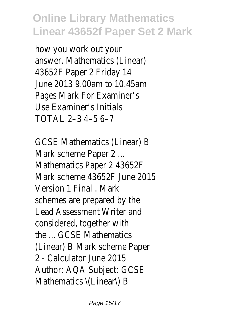how you work out your answer. Mathematics (Linear) 43652F Paper 2 Friday 14 June 2013 9.00am to 10.45am Pages Mark For Examiner's Use Examiner's Initials TOTAL 2–3 4–5 6–7

GCSE Mathematics (Linear) B Mark scheme Paper 2 ... Mathematics Paper 2 43652F Mark scheme 43652F June 2015 Version 1 Final . Mark schemes are prepared by the Lead Assessment Writer and considered, together with the ... GCSE Mathematics (Linear) B Mark scheme Paper 2 - Calculator June 2015 Author: AQA Subject: GCSE Mathematics \(Linear\) B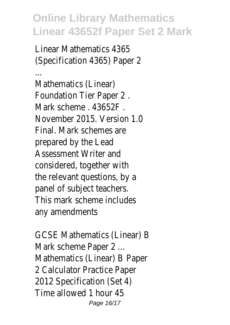Linear Mathematics 4365 (Specification 4365) Paper 2

... Mathematics (Linear) Foundation Tier Paper 2 . Mark scheme . 43652F . November 2015. Version 1.0 Final. Mark schemes are prepared by the Lead Assessment Writer and considered, together with the relevant questions, by a panel of subject teachers. This mark scheme includes any amendments

GCSE Mathematics (Linear) B Mark scheme Paper 2 ... Mathematics (Linear) B Paper 2 Calculator Practice Paper 2012 Specification (Set 4) Time allowed 1 hour 45 Page 16/17